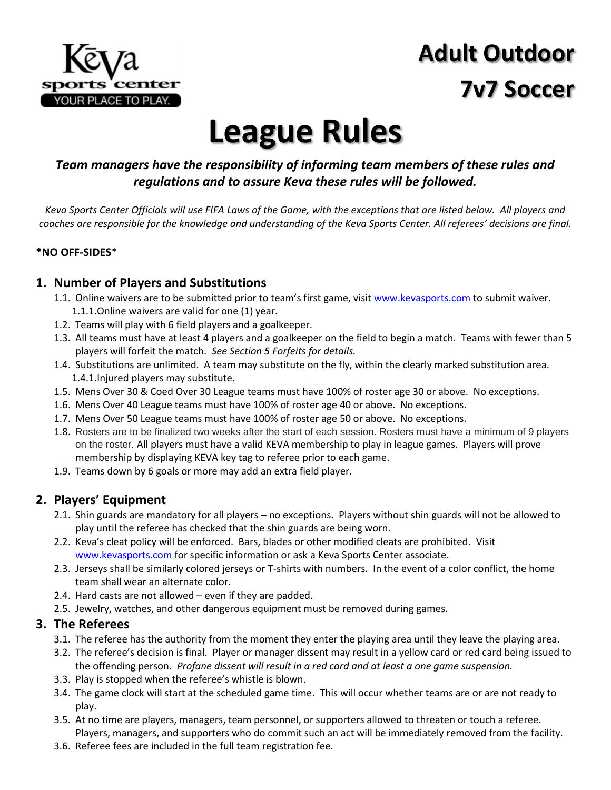

# **Adult Outdoor 7v7 Soccer**

# **League Rules**

#### *Team managers have the responsibility of informing team members of these rules and regulations and to assure Keva these rules will be followed.*

*Keva Sports Center Officials will use FIFA Laws of the Game, with the exceptions that are listed below. All players and coaches are responsible for the knowledge and understanding of the Keva Sports Center. All referees' decisions are final.*

#### **\*NO OFF-SIDES**\*

#### **1. Number of Players and Substitutions**

- 1.1. Online waivers are to be submitted prior to team's first game, visit [www.kevasports.com](http://www.kevasports.com/) to submit waiver. 1.1.1.Online waivers are valid for one (1) year.
- 1.2. Teams will play with 6 field players and a goalkeeper.
- 1.3. All teams must have at least 4 players and a goalkeeper on the field to begin a match. Teams with fewer than 5 players will forfeit the match. *See Section 5 Forfeits for details.*
- 1.4. Substitutions are unlimited. A team may substitute on the fly, within the clearly marked substitution area. 1.4.1.Injured players may substitute.
- 1.5. Mens Over 30 & Coed Over 30 League teams must have 100% of roster age 30 or above. No exceptions.
- 1.6. Mens Over 40 League teams must have 100% of roster age 40 or above. No exceptions.
- 1.7. Mens Over 50 League teams must have 100% of roster age 50 or above. No exceptions.
- 1.8. Rosters are to be finalized two weeks after the start of each session. Rosters must have a minimum of 9 players on the roster. All players must have a valid KEVA membership to play in league games. Players will prove membership by displaying KEVA key tag to referee prior to each game.
- 1.9. Teams down by 6 goals or more may add an extra field player.

#### **2. Players' Equipment**

- 2.1. Shin guards are mandatory for all players no exceptions. Players without shin guards will not be allowed to play until the referee has checked that the shin guards are being worn.
- 2.2. Keva's cleat policy will be enforced. Bars, blades or other modified cleats are prohibited. Visit [www.kevasports.com](http://www.kevasports.com/) for specific information or ask a Keva Sports Center associate.
- 2.3. Jerseys shall be similarly colored jerseys or T-shirts with numbers. In the event of a color conflict, the home team shall wear an alternate color.
- 2.4. Hard casts are not allowed even if they are padded.
- 2.5. Jewelry, watches, and other dangerous equipment must be removed during games.

#### **3. The Referees**

- 3.1. The referee has the authority from the moment they enter the playing area until they leave the playing area.
- 3.2. The referee's decision is final. Player or manager dissent may result in a yellow card or red card being issued to the offending person. *Profane dissent will result in a red card and at least a one game suspension.*
- 3.3. Play is stopped when the referee's whistle is blown.
- 3.4. The game clock will start at the scheduled game time. This will occur whether teams are or are not ready to play.
- 3.5. At no time are players, managers, team personnel, or supporters allowed to threaten or touch a referee. Players, managers, and supporters who do commit such an act will be immediately removed from the facility.
- 3.6. Referee fees are included in the full team registration fee.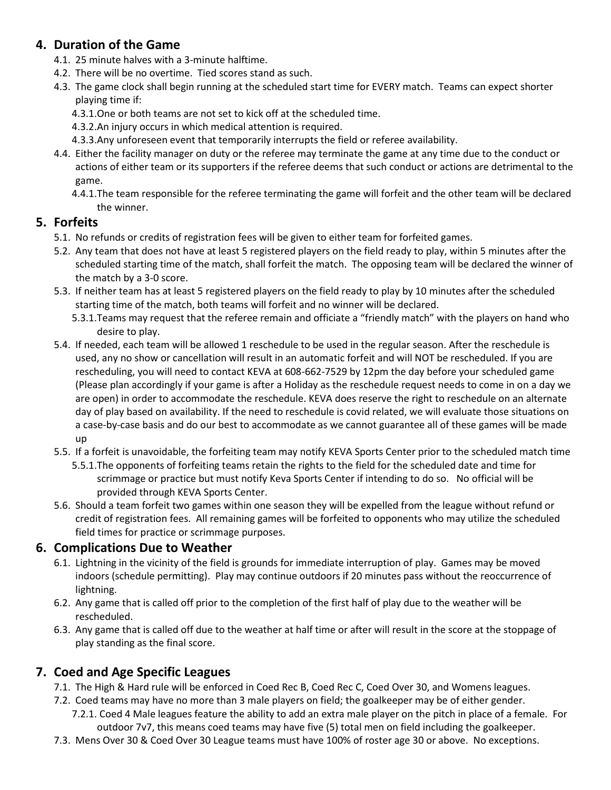#### **4. Duration of the Game**

- 4.1. 25 minute halves with a 3-minute halftime.
- 4.2. There will be no overtime. Tied scores stand as such.
- 4.3. The game clock shall begin running at the scheduled start time for EVERY match. Teams can expect shorter playing time if:
	- 4.3.1.One or both teams are not set to kick off at the scheduled time.
	- 4.3.2.An injury occurs in which medical attention is required.
	- 4.3.3.Any unforeseen event that temporarily interrupts the field or referee availability.
- 4.4. Either the facility manager on duty or the referee may terminate the game at any time due to the conduct or actions of either team or its supporters if the referee deems that such conduct or actions are detrimental to the game.
	- 4.4.1.The team responsible for the referee terminating the game will forfeit and the other team will be declared the winner.

#### **5. Forfeits**

- 5.1. No refunds or credits of registration fees will be given to either team for forfeited games.
- 5.2. Any team that does not have at least 5 registered players on the field ready to play, within 5 minutes after the scheduled starting time of the match, shall forfeit the match. The opposing team will be declared the winner of the match by a 3-0 score.
- 5.3. If neither team has at least 5 registered players on the field ready to play by 10 minutes after the scheduled starting time of the match, both teams will forfeit and no winner will be declared.
	- 5.3.1.Teams may request that the referee remain and officiate a "friendly match" with the players on hand who desire to play.
- 5.4. If needed, each team will be allowed 1 reschedule to be used in the regular season. After the reschedule is used, any no show or cancellation will result in an automatic forfeit and will NOT be rescheduled. If you are rescheduling, you will need to contact KEVA at 608-662-7529 by 12pm the day before your scheduled game (Please plan accordingly if your game is after a Holiday as the reschedule request needs to come in on a day we are open) in order to accommodate the reschedule. KEVA does reserve the right to reschedule on an alternate day of play based on availability. If the need to reschedule is covid related, we will evaluate those situations on a case-by-case basis and do our best to accommodate as we cannot guarantee all of these games will be made up
- 5.5. If a forfeit is unavoidable, the forfeiting team may notify KEVA Sports Center prior to the scheduled match time
	- 5.5.1.The opponents of forfeiting teams retain the rights to the field for the scheduled date and time for scrimmage or practice but must notify Keva Sports Center if intending to do so. No official will be provided through KEVA Sports Center.
- 5.6. Should a team forfeit two games within one season they will be expelled from the league without refund or credit of registration fees. All remaining games will be forfeited to opponents who may utilize the scheduled field times for practice or scrimmage purposes.

#### **6. Complications Due to Weather**

- 6.1. Lightning in the vicinity of the field is grounds for immediate interruption of play. Games may be moved indoors (schedule permitting). Play may continue outdoors if 20 minutes pass without the reoccurrence of lightning.
- 6.2. Any game that is called off prior to the completion of the first half of play due to the weather will be rescheduled.
- 6.3. Any game that is called off due to the weather at half time or after will result in the score at the stoppage of play standing as the final score.

#### **7. Coed and Age Specific Leagues**

- 7.1. The High & Hard rule will be enforced in Coed Rec B, Coed Rec C, Coed Over 30, and Womens leagues.
- 7.2. Coed teams may have no more than 3 male players on field; the goalkeeper may be of either gender. 7.2.1. Coed 4 Male leagues feature the ability to add an extra male player on the pitch in place of a female. For outdoor 7v7, this means coed teams may have five (5) total men on field including the goalkeeper.
- 7.3. Mens Over 30 & Coed Over 30 League teams must have 100% of roster age 30 or above. No exceptions.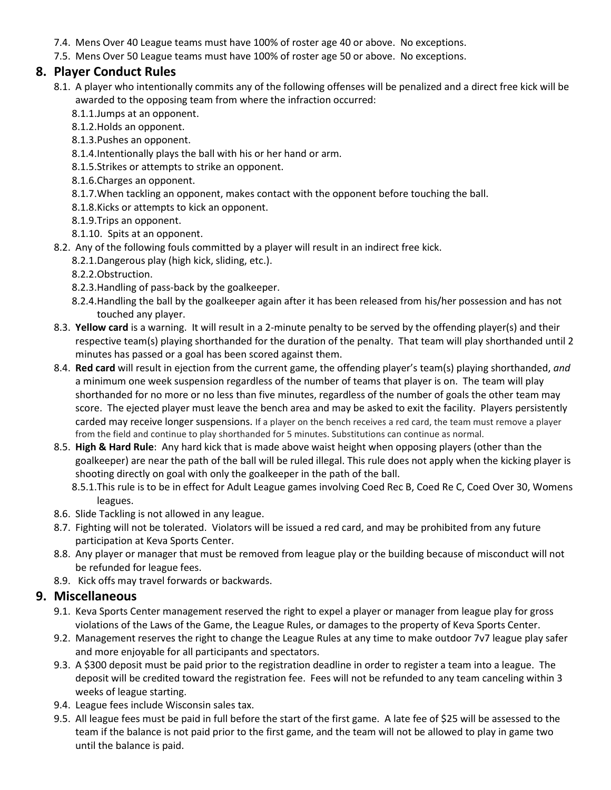- 7.4. Mens Over 40 League teams must have 100% of roster age 40 or above. No exceptions.
- 7.5. Mens Over 50 League teams must have 100% of roster age 50 or above. No exceptions.

#### **8. Player Conduct Rules**

- 8.1. A player who intentionally commits any of the following offenses will be penalized and a direct free kick will be awarded to the opposing team from where the infraction occurred:
	- 8.1.1.Jumps at an opponent.
	- 8.1.2.Holds an opponent.
	- 8.1.3.Pushes an opponent.
	- 8.1.4.Intentionally plays the ball with his or her hand or arm.
	- 8.1.5.Strikes or attempts to strike an opponent.
	- 8.1.6.Charges an opponent.
	- 8.1.7.When tackling an opponent, makes contact with the opponent before touching the ball.
	- 8.1.8.Kicks or attempts to kick an opponent.
	- 8.1.9.Trips an opponent.
	- 8.1.10. Spits at an opponent.
- 8.2. Any of the following fouls committed by a player will result in an indirect free kick.
	- 8.2.1.Dangerous play (high kick, sliding, etc.).
	- 8.2.2.Obstruction.
	- 8.2.3.Handling of pass-back by the goalkeeper.
	- 8.2.4.Handling the ball by the goalkeeper again after it has been released from his/her possession and has not touched any player.
- 8.3. **Yellow card** is a warning. It will result in a 2-minute penalty to be served by the offending player(s) and their respective team(s) playing shorthanded for the duration of the penalty. That team will play shorthanded until 2 minutes has passed or a goal has been scored against them.
- 8.4. **Red card** will result in ejection from the current game, the offending player's team(s) playing shorthanded, *and* a minimum one week suspension regardless of the number of teams that player is on. The team will play shorthanded for no more or no less than five minutes, regardless of the number of goals the other team may score. The ejected player must leave the bench area and may be asked to exit the facility. Players persistently carded may receive longer suspensions. If a player on the bench receives a red card, the team must remove a player from the field and continue to play shorthanded for 5 minutes. Substitutions can continue as normal.
- 8.5. **High & Hard Rule**: Any hard kick that is made above waist height when opposing players (other than the goalkeeper) are near the path of the ball will be ruled illegal. This rule does not apply when the kicking player is shooting directly on goal with only the goalkeeper in the path of the ball.
	- 8.5.1.This rule is to be in effect for Adult League games involving Coed Rec B, Coed Re C, Coed Over 30, Womens leagues.
- 8.6. Slide Tackling is not allowed in any league.
- 8.7. Fighting will not be tolerated. Violators will be issued a red card, and may be prohibited from any future participation at Keva Sports Center.
- 8.8. Any player or manager that must be removed from league play or the building because of misconduct will not be refunded for league fees.
- 8.9. Kick offs may travel forwards or backwards.

#### **9. Miscellaneous**

- 9.1. Keva Sports Center management reserved the right to expel a player or manager from league play for gross violations of the Laws of the Game, the League Rules, or damages to the property of Keva Sports Center.
- 9.2. Management reserves the right to change the League Rules at any time to make outdoor 7v7 league play safer and more enjoyable for all participants and spectators.
- 9.3. A \$300 deposit must be paid prior to the registration deadline in order to register a team into a league. The deposit will be credited toward the registration fee. Fees will not be refunded to any team canceling within 3 weeks of league starting.
- 9.4. League fees include Wisconsin sales tax.
- 9.5. All league fees must be paid in full before the start of the first game. A late fee of \$25 will be assessed to the team if the balance is not paid prior to the first game, and the team will not be allowed to play in game two until the balance is paid.